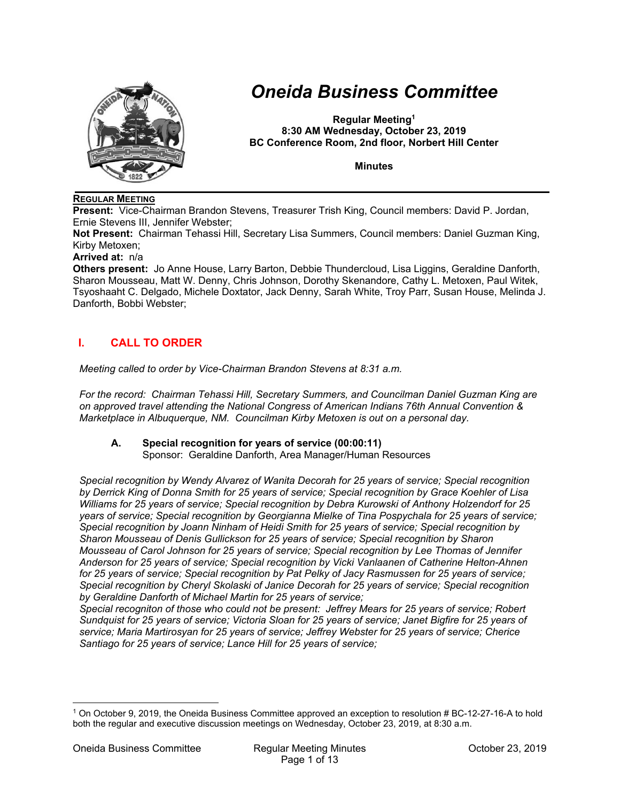

# *Oneida Business Committee*

**Regular Meeting1 8:30 AM Wednesday, October 23, 2019 BC Conference Room, 2nd floor, Norbert Hill Center** 

**Minutes** 

#### **REGULAR MEETING**

**Present:** Vice-Chairman Brandon Stevens, Treasurer Trish King, Council members: David P. Jordan, Ernie Stevens III, Jennifer Webster;

**Not Present:** Chairman Tehassi Hill, Secretary Lisa Summers, Council members: Daniel Guzman King, Kirby Metoxen;

#### **Arrived at:** n/a

**Others present:** Jo Anne House, Larry Barton, Debbie Thundercloud, Lisa Liggins, Geraldine Danforth, Sharon Mousseau, Matt W. Denny, Chris Johnson, Dorothy Skenandore, Cathy L. Metoxen, Paul Witek, Tsyoshaaht C. Delgado, Michele Doxtator, Jack Denny, Sarah White, Troy Parr, Susan House, Melinda J. Danforth, Bobbi Webster;

## **I. CALL TO ORDER**

*Meeting called to order by Vice-Chairman Brandon Stevens at 8:31 a.m.* 

*For the record: Chairman Tehassi Hill, Secretary Summers, and Councilman Daniel Guzman King are on approved travel attending the National Congress of American Indians 76th Annual Convention & Marketplace in Albuquerque, NM. Councilman Kirby Metoxen is out on a personal day.* 

## **A. Special recognition for years of service (00:00:11)**

Sponsor: Geraldine Danforth, Area Manager/Human Resources

*Special recognition by Wendy Alvarez of Wanita Decorah for 25 years of service; Special recognition by Derrick King of Donna Smith for 25 years of service; Special recognition by Grace Koehler of Lisa Williams for 25 years of service; Special recognition by Debra Kurowski of Anthony Holzendorf for 25 years of service; Special recognition by Georgianna Mielke of Tina Pospychala for 25 years of service; Special recognition by Joann Ninham of Heidi Smith for 25 years of service; Special recognition by Sharon Mousseau of Denis Gullickson for 25 years of service; Special recognition by Sharon Mousseau of Carol Johnson for 25 years of service; Special recognition by Lee Thomas of Jennifer Anderson for 25 years of service; Special recognition by Vicki Vanlaanen of Catherine Helton-Ahnen for 25 years of service; Special recognition by Pat Pelky of Jacy Rasmussen for 25 years of service; Special recognition by Cheryl Skolaski of Janice Decorah for 25 years of service; Special recognition by Geraldine Danforth of Michael Martin for 25 years of service;* 

*Special recogniton of those who could not be present: Jeffrey Mears for 25 years of service; Robert Sundquist for 25 years of service; Victoria Sloan for 25 years of service; Janet Bigfire for 25 years of service; Maria Martirosyan for 25 years of service; Jeffrey Webster for 25 years of service; Cherice Santiago for 25 years of service; Lance Hill for 25 years of service;* 

 $\overline{a}$ 

<sup>1</sup> On October 9, 2019, the Oneida Business Committee approved an exception to resolution # BC-12-27-16-A to hold both the regular and executive discussion meetings on Wednesday, October 23, 2019, at 8:30 a.m.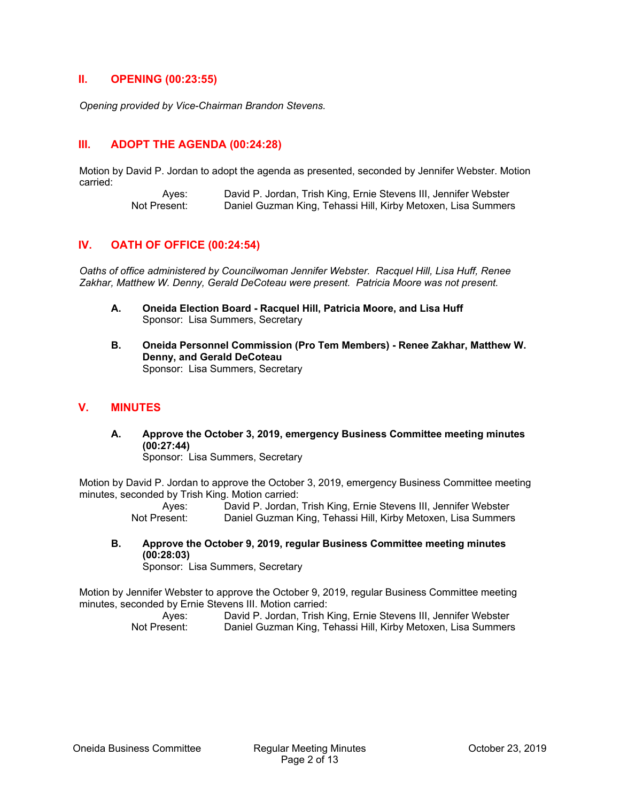#### **II. OPENING (00:23:55)**

*Opening provided by Vice-Chairman Brandon Stevens.* 

## **III. ADOPT THE AGENDA (00:24:28)**

Motion by David P. Jordan to adopt the agenda as presented, seconded by Jennifer Webster. Motion carried:

> Ayes: David P. Jordan, Trish King, Ernie Stevens III, Jennifer Webster Not Present: Daniel Guzman King, Tehassi Hill, Kirby Metoxen, Lisa Summers

#### **IV. OATH OF OFFICE (00:24:54)**

*Oaths of office administered by Councilwoman Jennifer Webster. Racquel Hill, Lisa Huff, Renee Zakhar, Matthew W. Denny, Gerald DeCoteau were present. Patricia Moore was not present.* 

- **A. Oneida Election Board Racquel Hill, Patricia Moore, and Lisa Huff**  Sponsor: Lisa Summers, Secretary
- **B. Oneida Personnel Commission (Pro Tem Members) Renee Zakhar, Matthew W. Denny, and Gerald DeCoteau**  Sponsor: Lisa Summers, Secretary

#### **V. MINUTES**

**A. Approve the October 3, 2019, emergency Business Committee meeting minutes (00:27:44)** 

Sponsor: Lisa Summers, Secretary

Motion by David P. Jordan to approve the October 3, 2019, emergency Business Committee meeting minutes, seconded by Trish King. Motion carried:

 Ayes: David P. Jordan, Trish King, Ernie Stevens III, Jennifer Webster Not Present: Daniel Guzman King, Tehassi Hill, Kirby Metoxen, Lisa Summers

**B. Approve the October 9, 2019, regular Business Committee meeting minutes (00:28:03)** 

Sponsor: Lisa Summers, Secretary

Motion by Jennifer Webster to approve the October 9, 2019, regular Business Committee meeting minutes, seconded by Ernie Stevens III. Motion carried: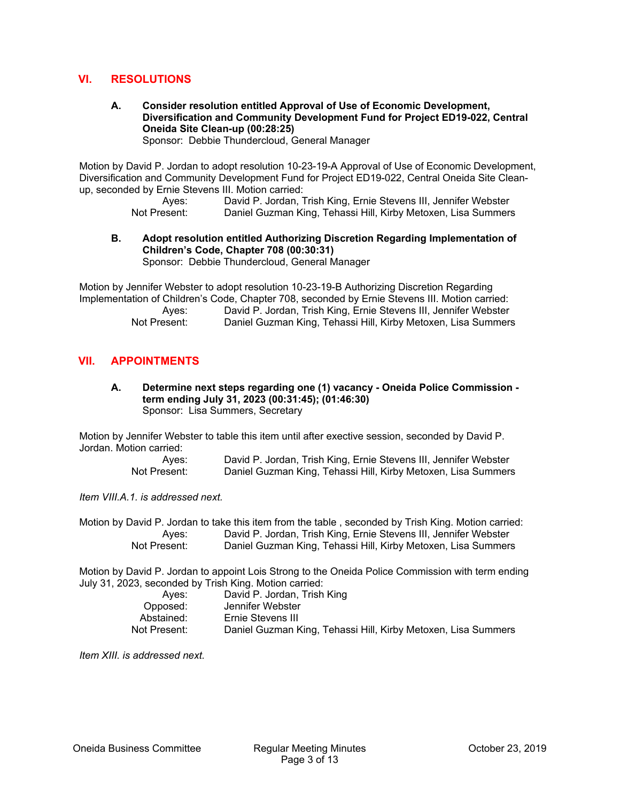## **VI. RESOLUTIONS**

**A. Consider resolution entitled Approval of Use of Economic Development, Diversification and Community Development Fund for Project ED19-022, Central Oneida Site Clean-up (00:28:25)**  Sponsor: Debbie Thundercloud, General Manager

Motion by David P. Jordan to adopt resolution 10-23-19-A Approval of Use of Economic Development, Diversification and Community Development Fund for Project ED19-022, Central Oneida Site Cleanup, seconded by Ernie Stevens III. Motion carried:

> Ayes: David P. Jordan, Trish King, Ernie Stevens III, Jennifer Webster<br>Not Present: Daniel Guzman King, Tehassi Hill, Kirby Metoxen, Lisa Summers Daniel Guzman King, Tehassi Hill, Kirby Metoxen, Lisa Summers

**B. Adopt resolution entitled Authorizing Discretion Regarding Implementation of Children's Code, Chapter 708 (00:30:31)**  Sponsor: Debbie Thundercloud, General Manager

Motion by Jennifer Webster to adopt resolution 10-23-19-B Authorizing Discretion Regarding Implementation of Children's Code, Chapter 708, seconded by Ernie Stevens III. Motion carried:

> Ayes: David P. Jordan, Trish King, Ernie Stevens III, Jennifer Webster Not Present: Daniel Guzman King, Tehassi Hill, Kirby Metoxen, Lisa Summers

#### **VII. APPOINTMENTS**

**A. Determine next steps regarding one (1) vacancy - Oneida Police Commission term ending July 31, 2023 (00:31:45); (01:46:30)**  Sponsor: Lisa Summers, Secretary

Motion by Jennifer Webster to table this item until after exective session, seconded by David P. Jordan. Motion carried:

> Ayes: David P. Jordan, Trish King, Ernie Stevens III, Jennifer Webster Not Present: Daniel Guzman King, Tehassi Hill, Kirby Metoxen, Lisa Summers

*Item VIII.A.1. is addressed next.* 

Motion by David P. Jordan to take this item from the table , seconded by Trish King. Motion carried: Ayes: David P. Jordan, Trish King, Ernie Stevens III, Jennifer Webster Not Present: Daniel Guzman King, Tehassi Hill, Kirby Metoxen, Lisa Summers

Motion by David P. Jordan to appoint Lois Strong to the Oneida Police Commission with term ending July 31, 2023, seconded by Trish King. Motion carried:

| David P. Jordan, Trish King                                   |
|---------------------------------------------------------------|
| Jennifer Webster                                              |
| Ernie Stevens III                                             |
| Daniel Guzman King, Tehassi Hill, Kirby Metoxen, Lisa Summers |
|                                                               |

*Item XIII. is addressed next.*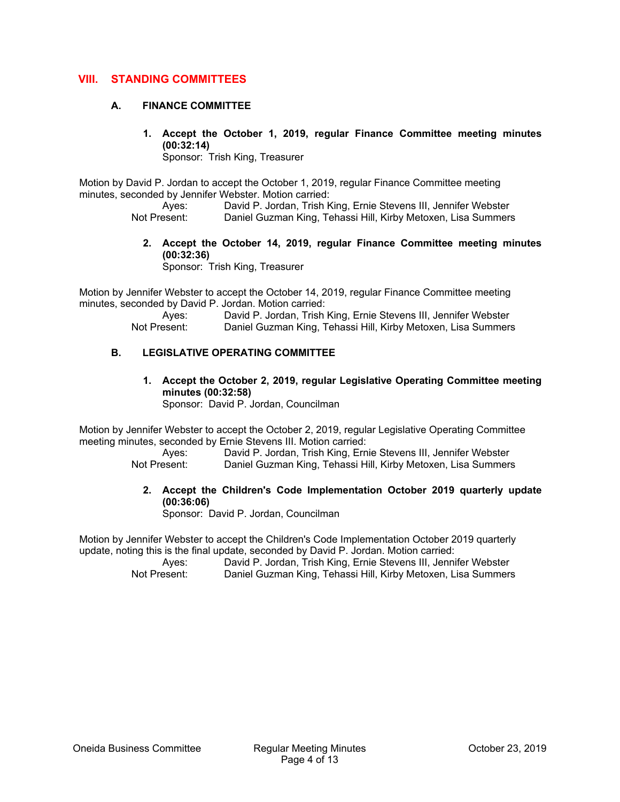## **VIII. STANDING COMMITTEES**

#### **A. FINANCE COMMITTEE**

**1. Accept the October 1, 2019, regular Finance Committee meeting minutes (00:32:14)** 

Sponsor: Trish King, Treasurer

Motion by David P. Jordan to accept the October 1, 2019, regular Finance Committee meeting minutes, seconded by Jennifer Webster. Motion carried:

Ayes: David P. Jordan, Trish King, Ernie Stevens III, Jennifer Webster<br>Not Present: Daniel Guzman King, Tehassi Hill, Kirby Metoxen, Lisa Summers Daniel Guzman King, Tehassi Hill, Kirby Metoxen, Lisa Summers

**2. Accept the October 14, 2019, regular Finance Committee meeting minutes (00:32:36)** 

Sponsor: Trish King, Treasurer

Motion by Jennifer Webster to accept the October 14, 2019, regular Finance Committee meeting minutes, seconded by David P. Jordan. Motion carried:

 Ayes: David P. Jordan, Trish King, Ernie Stevens III, Jennifer Webster Not Present: Daniel Guzman King, Tehassi Hill, Kirby Metoxen, Lisa Summers

#### **B. LEGISLATIVE OPERATING COMMITTEE**

**1. Accept the October 2, 2019, regular Legislative Operating Committee meeting minutes (00:32:58)**  Sponsor: David P. Jordan, Councilman

Motion by Jennifer Webster to accept the October 2, 2019, regular Legislative Operating Committee meeting minutes, seconded by Ernie Stevens III. Motion carried:

 Ayes: David P. Jordan, Trish King, Ernie Stevens III, Jennifer Webster Not Present: Daniel Guzman King, Tehassi Hill, Kirby Metoxen, Lisa Summers

**2. Accept the Children's Code Implementation October 2019 quarterly update (00:36:06)** 

Sponsor: David P. Jordan, Councilman

Motion by Jennifer Webster to accept the Children's Code Implementation October 2019 quarterly update, noting this is the final update, seconded by David P. Jordan. Motion carried: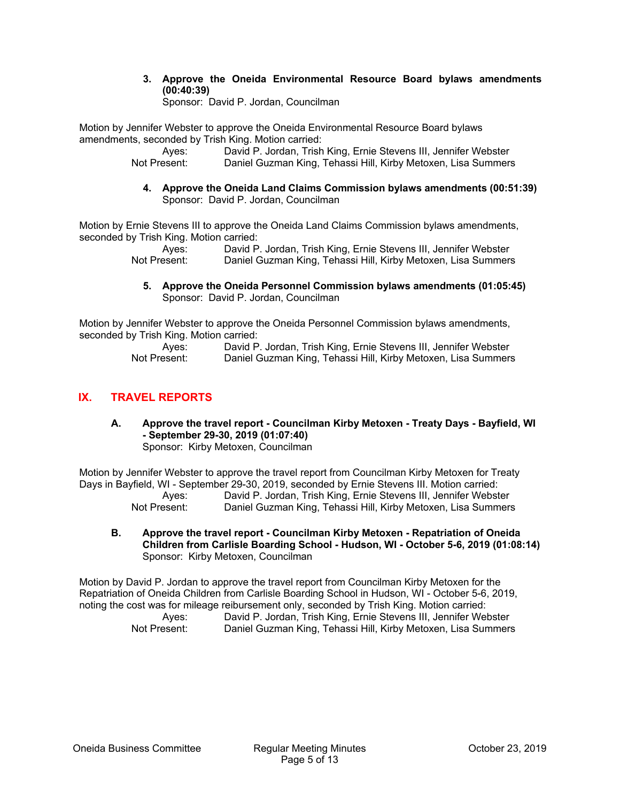**3. Approve the Oneida Environmental Resource Board bylaws amendments (00:40:39)** 

Sponsor: David P. Jordan, Councilman

Motion by Jennifer Webster to approve the Oneida Environmental Resource Board bylaws amendments, seconded by Trish King. Motion carried:

 Ayes: David P. Jordan, Trish King, Ernie Stevens III, Jennifer Webster Not Present: Daniel Guzman King, Tehassi Hill, Kirby Metoxen, Lisa Summers

**4. Approve the Oneida Land Claims Commission bylaws amendments (00:51:39)**  Sponsor: David P. Jordan, Councilman

Motion by Ernie Stevens III to approve the Oneida Land Claims Commission bylaws amendments, seconded by Trish King. Motion carried:

 Ayes: David P. Jordan, Trish King, Ernie Stevens III, Jennifer Webster Not Present: Daniel Guzman King, Tehassi Hill, Kirby Metoxen, Lisa Summers

**5. Approve the Oneida Personnel Commission bylaws amendments (01:05:45)**  Sponsor: David P. Jordan, Councilman

Motion by Jennifer Webster to approve the Oneida Personnel Commission bylaws amendments, seconded by Trish King. Motion carried:

 Ayes: David P. Jordan, Trish King, Ernie Stevens III, Jennifer Webster Not Present: Daniel Guzman King, Tehassi Hill, Kirby Metoxen, Lisa Summers

## **IX. TRAVEL REPORTS**

**A. Approve the travel report - Councilman Kirby Metoxen - Treaty Days - Bayfield, WI - September 29-30, 2019 (01:07:40)**  Sponsor: Kirby Metoxen, Councilman

Motion by Jennifer Webster to approve the travel report from Councilman Kirby Metoxen for Treaty Days in Bayfield, WI - September 29-30, 2019, seconded by Ernie Stevens III. Motion carried: Ayes: David P. Jordan, Trish King, Ernie Stevens III, Jennifer Webster Not Present: Daniel Guzman King, Tehassi Hill, Kirby Metoxen, Lisa Summers

**B. Approve the travel report - Councilman Kirby Metoxen - Repatriation of Oneida Children from Carlisle Boarding School - Hudson, WI - October 5-6, 2019 (01:08:14)**  Sponsor: Kirby Metoxen, Councilman

Motion by David P. Jordan to approve the travel report from Councilman Kirby Metoxen for the Repatriation of Oneida Children from Carlisle Boarding School in Hudson, WI - October 5-6, 2019, noting the cost was for mileage reibursement only, seconded by Trish King. Motion carried:

| Aves:        | David P. Jordan, Trish King, Ernie Stevens III, Jennifer Webster |  |  |  |
|--------------|------------------------------------------------------------------|--|--|--|
| Not Present: | Daniel Guzman King, Tehassi Hill, Kirby Metoxen, Lisa Summers    |  |  |  |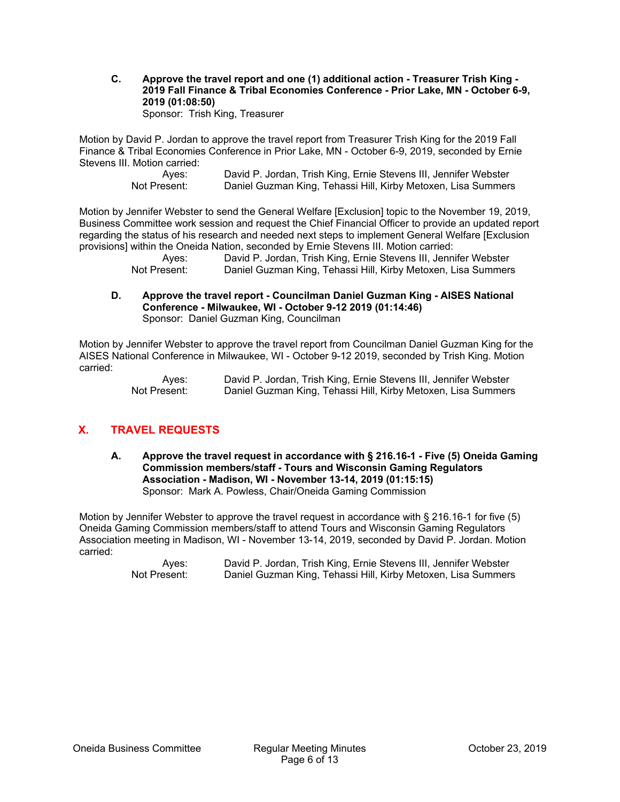**C. Approve the travel report and one (1) additional action - Treasurer Trish King - 2019 Fall Finance & Tribal Economies Conference - Prior Lake, MN - October 6-9, 2019 (01:08:50)**  Sponsor: Trish King, Treasurer

Motion by David P. Jordan to approve the travel report from Treasurer Trish King for the 2019 Fall Finance & Tribal Economies Conference in Prior Lake, MN - October 6-9, 2019, seconded by Ernie Stevens III. Motion carried:

> Ayes: David P. Jordan, Trish King, Ernie Stevens III, Jennifer Webster Not Present: Daniel Guzman King, Tehassi Hill, Kirby Metoxen, Lisa Summers

Motion by Jennifer Webster to send the General Welfare [Exclusion] topic to the November 19, 2019, Business Committee work session and request the Chief Financial Officer to provide an updated report regarding the status of his research and needed next steps to implement General Welfare [Exclusion provisions] within the Oneida Nation, seconded by Ernie Stevens III. Motion carried:

> Ayes: David P. Jordan, Trish King, Ernie Stevens III, Jennifer Webster Not Present: Daniel Guzman King, Tehassi Hill, Kirby Metoxen, Lisa Summers

**D. Approve the travel report - Councilman Daniel Guzman King - AISES National Conference - Milwaukee, WI - October 9-12 2019 (01:14:46)**  Sponsor: Daniel Guzman King, Councilman

Motion by Jennifer Webster to approve the travel report from Councilman Daniel Guzman King for the AISES National Conference in Milwaukee, WI - October 9-12 2019, seconded by Trish King. Motion carried:

 Ayes: David P. Jordan, Trish King, Ernie Stevens III, Jennifer Webster Not Present: Daniel Guzman King, Tehassi Hill, Kirby Metoxen, Lisa Summers

## **X. TRAVEL REQUESTS**

**A. Approve the travel request in accordance with § 216.16-1 - Five (5) Oneida Gaming Commission members/staff - Tours and Wisconsin Gaming Regulators Association - Madison, WI - November 13-14, 2019 (01:15:15)**  Sponsor: Mark A. Powless, Chair/Oneida Gaming Commission

Motion by Jennifer Webster to approve the travel request in accordance with § 216.16-1 for five (5) Oneida Gaming Commission members/staff to attend Tours and Wisconsin Gaming Regulators Association meeting in Madison, WI - November 13-14, 2019, seconded by David P. Jordan. Motion carried: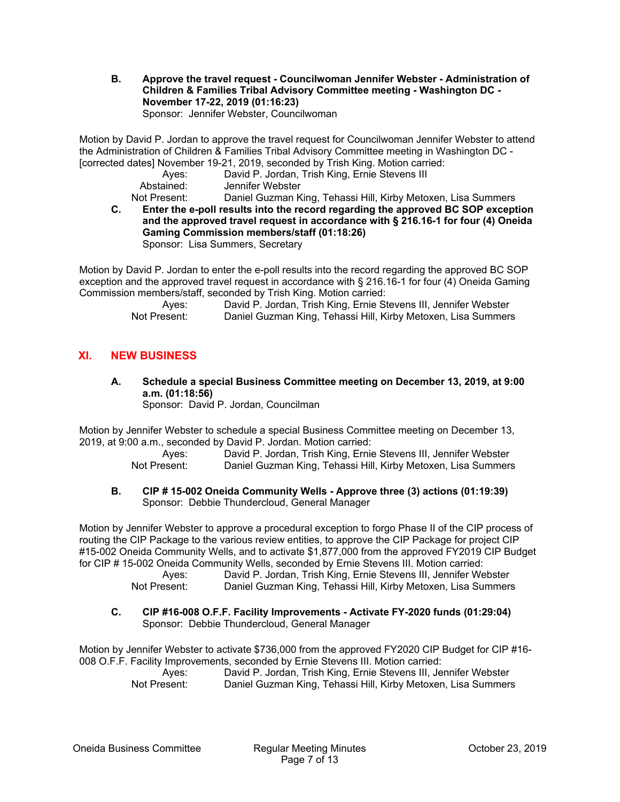**B. Approve the travel request - Councilwoman Jennifer Webster - Administration of Children & Families Tribal Advisory Committee meeting - Washington DC - November 17-22, 2019 (01:16:23)**  Sponsor: Jennifer Webster, Councilwoman

Motion by David P. Jordan to approve the travel request for Councilwoman Jennifer Webster to attend the Administration of Children & Families Tribal Advisory Committee meeting in Washington DC - [corrected dates] November 19-21, 2019, seconded by Trish King. Motion carried:

|                                | $\sim$ . The concept the component $\sim$ $\sim$ . The conception of the concept $\sim$ $\sim$ $\sim$ $\sim$                                  |
|--------------------------------|-----------------------------------------------------------------------------------------------------------------------------------------------|
| Aves:                          | David P. Jordan, Trish King, Ernie Stevens III                                                                                                |
| Abstained:                     | Jennifer Webster                                                                                                                              |
| <b>Alle A. Processing Line</b> | $\mathbf{D}$ and all $\mathbf{D}$ compared to $\mathbf{L}$ and $\mathbf{L}$ and $\mathbf{L}$ are all the following the following $\mathbf{L}$ |

Not Present: Daniel Guzman King, Tehassi Hill, Kirby Metoxen, Lisa Summers

**C. Enter the e-poll results into the record regarding the approved BC SOP exception and the approved travel request in accordance with § 216.16-1 for four (4) Oneida Gaming Commission members/staff (01:18:26)**  Sponsor: Lisa Summers, Secretary

Motion by David P. Jordan to enter the e-poll results into the record regarding the approved BC SOP exception and the approved travel request in accordance with § 216.16-1 for four (4) Oneida Gaming Commission members/staff, seconded by Trish King. Motion carried:

 Ayes: David P. Jordan, Trish King, Ernie Stevens III, Jennifer Webster Not Present: Daniel Guzman King, Tehassi Hill, Kirby Metoxen, Lisa Summers

## **XI. NEW BUSINESS**

**A. Schedule a special Business Committee meeting on December 13, 2019, at 9:00 a.m. (01:18:56)**  Sponsor: David P. Jordan, Councilman

Motion by Jennifer Webster to schedule a special Business Committee meeting on December 13, 2019, at 9:00 a.m., seconded by David P. Jordan. Motion carried:

 Ayes: David P. Jordan, Trish King, Ernie Stevens III, Jennifer Webster Not Present: Daniel Guzman King, Tehassi Hill, Kirby Metoxen, Lisa Summers

#### **B. CIP # 15-002 Oneida Community Wells - Approve three (3) actions (01:19:39)**  Sponsor: Debbie Thundercloud, General Manager

Motion by Jennifer Webster to approve a procedural exception to forgo Phase II of the CIP process of routing the CIP Package to the various review entities, to approve the CIP Package for project CIP #15-002 Oneida Community Wells, and to activate \$1,877,000 from the approved FY2019 CIP Budget for CIP # 15-002 Oneida Community Wells, seconded by Ernie Stevens III. Motion carried:

 Ayes: David P. Jordan, Trish King, Ernie Stevens III, Jennifer Webster Not Present: Daniel Guzman King, Tehassi Hill, Kirby Metoxen, Lisa Summers

#### **C. CIP #16-008 O.F.F. Facility Improvements - Activate FY-2020 funds (01:29:04)**  Sponsor: Debbie Thundercloud, General Manager

Motion by Jennifer Webster to activate \$736,000 from the approved FY2020 CIP Budget for CIP #16- 008 O.F.F. Facility Improvements, seconded by Ernie Stevens III. Motion carried: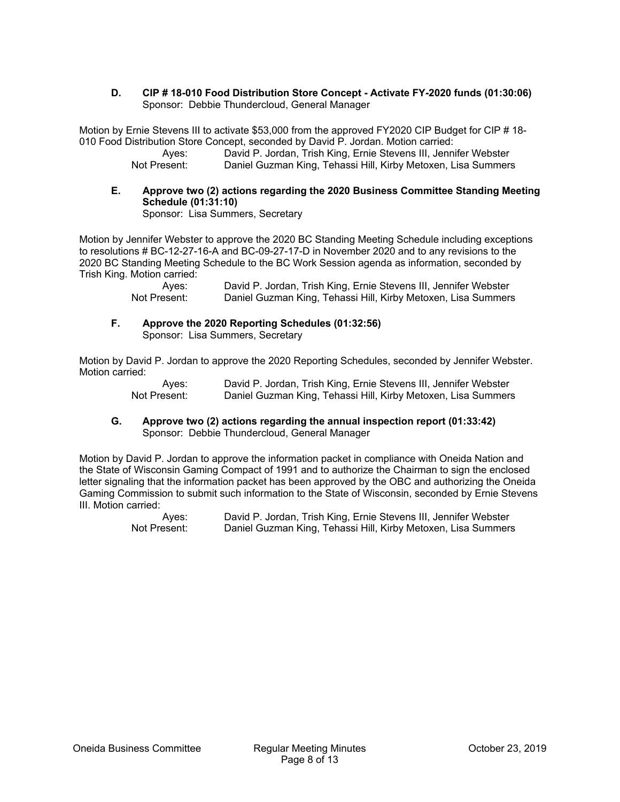**D. CIP # 18-010 Food Distribution Store Concept - Activate FY-2020 funds (01:30:06)**  Sponsor: Debbie Thundercloud, General Manager

Motion by Ernie Stevens III to activate \$53,000 from the approved FY2020 CIP Budget for CIP # 18- 010 Food Distribution Store Concept, seconded by David P. Jordan. Motion carried:

 Ayes: David P. Jordan, Trish King, Ernie Stevens III, Jennifer Webster Not Present: Daniel Guzman King, Tehassi Hill, Kirby Metoxen, Lisa Summers

**E. Approve two (2) actions regarding the 2020 Business Committee Standing Meeting Schedule (01:31:10)**  Sponsor: Lisa Summers, Secretary

Motion by Jennifer Webster to approve the 2020 BC Standing Meeting Schedule including exceptions to resolutions # BC-12-27-16-A and BC-09-27-17-D in November 2020 and to any revisions to the 2020 BC Standing Meeting Schedule to the BC Work Session agenda as information, seconded by Trish King. Motion carried:

> Ayes: David P. Jordan, Trish King, Ernie Stevens III, Jennifer Webster Not Present: Daniel Guzman King, Tehassi Hill, Kirby Metoxen, Lisa Summers

**F. Approve the 2020 Reporting Schedules (01:32:56)**  Sponsor: Lisa Summers, Secretary

Motion by David P. Jordan to approve the 2020 Reporting Schedules, seconded by Jennifer Webster. Motion carried:

> Ayes: David P. Jordan, Trish King, Ernie Stevens III, Jennifer Webster Not Present: Daniel Guzman King, Tehassi Hill, Kirby Metoxen, Lisa Summers

**G. Approve two (2) actions regarding the annual inspection report (01:33:42)**  Sponsor: Debbie Thundercloud, General Manager

Motion by David P. Jordan to approve the information packet in compliance with Oneida Nation and the State of Wisconsin Gaming Compact of 1991 and to authorize the Chairman to sign the enclosed letter signaling that the information packet has been approved by the OBC and authorizing the Oneida Gaming Commission to submit such information to the State of Wisconsin, seconded by Ernie Stevens III. Motion carried: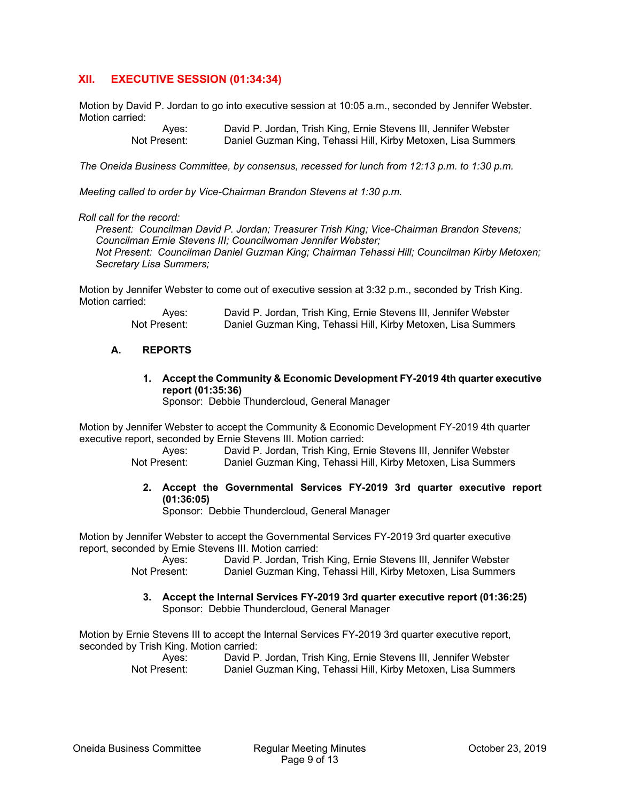## **XII. EXECUTIVE SESSION (01:34:34)**

Motion by David P. Jordan to go into executive session at 10:05 a.m., seconded by Jennifer Webster. Motion carried:

> Ayes: David P. Jordan, Trish King, Ernie Stevens III, Jennifer Webster<br>Not Present: Daniel Guzman King, Tehassi Hill, Kirby Metoxen, Lisa Summers Daniel Guzman King, Tehassi Hill, Kirby Metoxen, Lisa Summers

*The Oneida Business Committee, by consensus, recessed for lunch from 12:13 p.m. to 1:30 p.m.* 

*Meeting called to order by Vice-Chairman Brandon Stevens at 1:30 p.m.* 

#### *Roll call for the record:*

*Present: Councilman David P. Jordan; Treasurer Trish King; Vice-Chairman Brandon Stevens; Councilman Ernie Stevens III; Councilwoman Jennifer Webster; Not Present: Councilman Daniel Guzman King; Chairman Tehassi Hill; Councilman Kirby Metoxen; Secretary Lisa Summers;* 

Motion by Jennifer Webster to come out of executive session at 3:32 p.m., seconded by Trish King. Motion carried:

| Aves:        | David P. Jordan, Trish King, Ernie Stevens III, Jennifer Webster |
|--------------|------------------------------------------------------------------|
| Not Present: | Daniel Guzman King, Tehassi Hill, Kirby Metoxen, Lisa Summers    |

#### **A. REPORTS**

**1. Accept the Community & Economic Development FY-2019 4th quarter executive report (01:35:36)** 

Sponsor: Debbie Thundercloud, General Manager

Motion by Jennifer Webster to accept the Community & Economic Development FY-2019 4th quarter executive report, seconded by Ernie Stevens III. Motion carried:

> Ayes: David P. Jordan, Trish King, Ernie Stevens III, Jennifer Webster Not Present: Daniel Guzman King, Tehassi Hill, Kirby Metoxen, Lisa Summers

**2. Accept the Governmental Services FY-2019 3rd quarter executive report (01:36:05)** 

Sponsor: Debbie Thundercloud, General Manager

Motion by Jennifer Webster to accept the Governmental Services FY-2019 3rd quarter executive report, seconded by Ernie Stevens III. Motion carried:

> Ayes: David P. Jordan, Trish King, Ernie Stevens III, Jennifer Webster Not Present: Daniel Guzman King, Tehassi Hill, Kirby Metoxen, Lisa Summers

**3. Accept the Internal Services FY-2019 3rd quarter executive report (01:36:25)**  Sponsor: Debbie Thundercloud, General Manager

Motion by Ernie Stevens III to accept the Internal Services FY-2019 3rd quarter executive report, seconded by Trish King. Motion carried: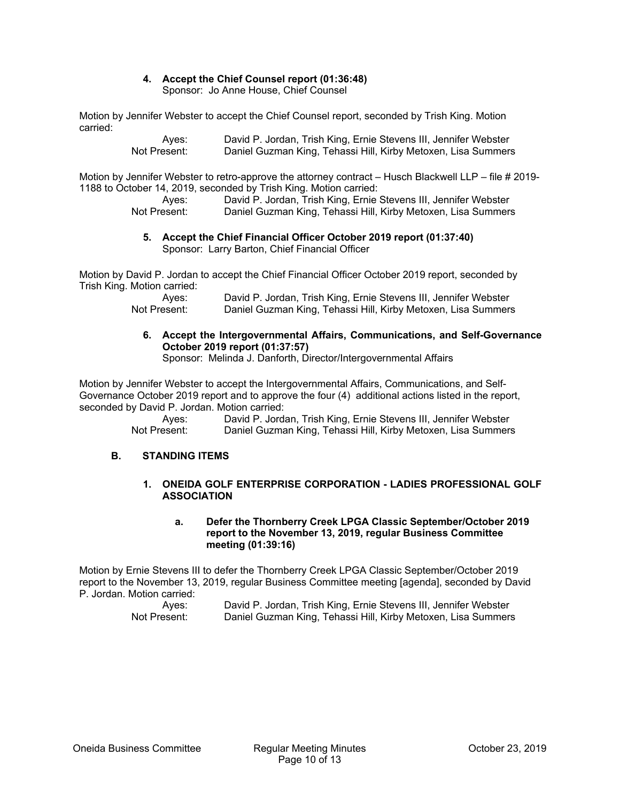## **4. Accept the Chief Counsel report (01:36:48)**

Sponsor: Jo Anne House, Chief Counsel

Motion by Jennifer Webster to accept the Chief Counsel report, seconded by Trish King. Motion carried:

 Ayes: David P. Jordan, Trish King, Ernie Stevens III, Jennifer Webster Not Present: Daniel Guzman King, Tehassi Hill, Kirby Metoxen, Lisa Summers

Motion by Jennifer Webster to retro-approve the attorney contract – Husch Blackwell LLP – file # 2019- 1188 to October 14, 2019, seconded by Trish King. Motion carried:

 Ayes: David P. Jordan, Trish King, Ernie Stevens III, Jennifer Webster Not Present: Daniel Guzman King, Tehassi Hill, Kirby Metoxen, Lisa Summers

#### **5. Accept the Chief Financial Officer October 2019 report (01:37:40)**  Sponsor: Larry Barton, Chief Financial Officer

Motion by David P. Jordan to accept the Chief Financial Officer October 2019 report, seconded by Trish King. Motion carried:

 Ayes: David P. Jordan, Trish King, Ernie Stevens III, Jennifer Webster Not Present: Daniel Guzman King, Tehassi Hill, Kirby Metoxen, Lisa Summers

## **6. Accept the Intergovernmental Affairs, Communications, and Self-Governance October 2019 report (01:37:57)**

Sponsor: Melinda J. Danforth, Director/Intergovernmental Affairs

Motion by Jennifer Webster to accept the Intergovernmental Affairs, Communications, and Self-Governance October 2019 report and to approve the four (4) additional actions listed in the report, seconded by David P. Jordan. Motion carried:

 Ayes: David P. Jordan, Trish King, Ernie Stevens III, Jennifer Webster Not Present: Daniel Guzman King, Tehassi Hill, Kirby Metoxen, Lisa Summers

## **B. STANDING ITEMS**

#### **1. ONEIDA GOLF ENTERPRISE CORPORATION - LADIES PROFESSIONAL GOLF ASSOCIATION**

#### **a. Defer the Thornberry Creek LPGA Classic September/October 2019 report to the November 13, 2019, regular Business Committee meeting (01:39:16)**

Motion by Ernie Stevens III to defer the Thornberry Creek LPGA Classic September/October 2019 report to the November 13, 2019, regular Business Committee meeting [agenda], seconded by David P. Jordan. Motion carried:

| Ayes:        | David P. Jordan, Trish King, Ernie Stevens III, Jennifer Webster |
|--------------|------------------------------------------------------------------|
| Not Present: | Daniel Guzman King, Tehassi Hill, Kirby Metoxen, Lisa Summers    |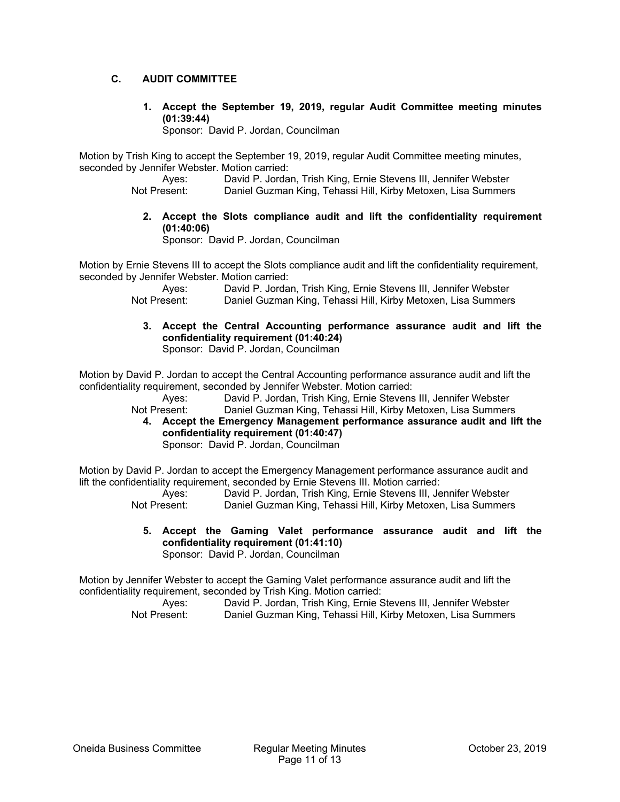#### **C. AUDIT COMMITTEE**

**1. Accept the September 19, 2019, regular Audit Committee meeting minutes (01:39:44)** 

Sponsor: David P. Jordan, Councilman

Motion by Trish King to accept the September 19, 2019, regular Audit Committee meeting minutes, seconded by Jennifer Webster. Motion carried:

Ayes: David P. Jordan, Trish King, Ernie Stevens III, Jennifer Webster<br>Not Present: Daniel Guzman King, Tehassi Hill, Kirby Metoxen, Lisa Summers Daniel Guzman King, Tehassi Hill, Kirby Metoxen, Lisa Summers

**2. Accept the Slots compliance audit and lift the confidentiality requirement (01:40:06)** 

Sponsor: David P. Jordan, Councilman

Motion by Ernie Stevens III to accept the Slots compliance audit and lift the confidentiality requirement, seconded by Jennifer Webster. Motion carried:

> Ayes: David P. Jordan, Trish King, Ernie Stevens III, Jennifer Webster<br>Not Present: Daniel Guzman King, Tehassi Hill, Kirby Metoxen, Lisa Summers Daniel Guzman King, Tehassi Hill, Kirby Metoxen, Lisa Summers

**3. Accept the Central Accounting performance assurance audit and lift the confidentiality requirement (01:40:24)**  Sponsor: David P. Jordan, Councilman

Motion by David P. Jordan to accept the Central Accounting performance assurance audit and lift the confidentiality requirement, seconded by Jennifer Webster. Motion carried:

 Ayes: David P. Jordan, Trish King, Ernie Stevens III, Jennifer Webster Not Present: Daniel Guzman King, Tehassi Hill, Kirby Metoxen, Lisa Summers

**4. Accept the Emergency Management performance assurance audit and lift the confidentiality requirement (01:40:47)**  Sponsor: David P. Jordan, Councilman

Motion by David P. Jordan to accept the Emergency Management performance assurance audit and lift the confidentiality requirement, seconded by Ernie Stevens III. Motion carried:

 Ayes: David P. Jordan, Trish King, Ernie Stevens III, Jennifer Webster Not Present: Daniel Guzman King, Tehassi Hill, Kirby Metoxen, Lisa Summers

**5. Accept the Gaming Valet performance assurance audit and lift the confidentiality requirement (01:41:10)**  Sponsor: David P. Jordan, Councilman

Motion by Jennifer Webster to accept the Gaming Valet performance assurance audit and lift the confidentiality requirement, seconded by Trish King. Motion carried:

| Aves:        | David P. Jordan, Trish King, Ernie Stevens III, Jennifer Webster |
|--------------|------------------------------------------------------------------|
| Not Present: | Daniel Guzman King, Tehassi Hill, Kirby Metoxen, Lisa Summers    |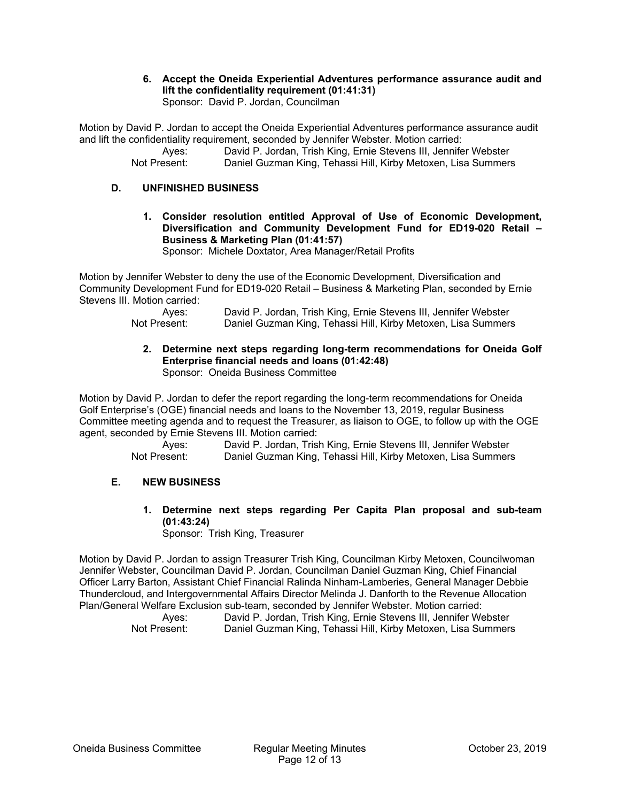**6. Accept the Oneida Experiential Adventures performance assurance audit and lift the confidentiality requirement (01:41:31)**  Sponsor: David P. Jordan, Councilman

Motion by David P. Jordan to accept the Oneida Experiential Adventures performance assurance audit and lift the confidentiality requirement, seconded by Jennifer Webster. Motion carried:

 Ayes: David P. Jordan, Trish King, Ernie Stevens III, Jennifer Webster Not Present: Daniel Guzman King, Tehassi Hill, Kirby Metoxen, Lisa Summers

#### **D. UNFINISHED BUSINESS**

**1. Consider resolution entitled Approval of Use of Economic Development, Diversification and Community Development Fund for ED19-020 Retail – Business & Marketing Plan (01:41:57)** 

Sponsor: Michele Doxtator, Area Manager/Retail Profits

Motion by Jennifer Webster to deny the use of the Economic Development, Diversification and Community Development Fund for ED19-020 Retail – Business & Marketing Plan, seconded by Ernie Stevens III. Motion carried:

 Ayes: David P. Jordan, Trish King, Ernie Stevens III, Jennifer Webster Not Present: Daniel Guzman King, Tehassi Hill, Kirby Metoxen, Lisa Summers

**2. Determine next steps regarding long-term recommendations for Oneida Golf Enterprise financial needs and loans (01:42:48)**  Sponsor: Oneida Business Committee

Motion by David P. Jordan to defer the report regarding the long-term recommendations for Oneida Golf Enterprise's (OGE) financial needs and loans to the November 13, 2019, regular Business Committee meeting agenda and to request the Treasurer, as liaison to OGE, to follow up with the OGE agent, seconded by Ernie Stevens III. Motion carried:

 Ayes: David P. Jordan, Trish King, Ernie Stevens III, Jennifer Webster Not Present: Daniel Guzman King, Tehassi Hill, Kirby Metoxen, Lisa Summers

#### **E. NEW BUSINESS**

**1. Determine next steps regarding Per Capita Plan proposal and sub-team (01:43:24)** 

Sponsor: Trish King, Treasurer

Motion by David P. Jordan to assign Treasurer Trish King, Councilman Kirby Metoxen, Councilwoman Jennifer Webster, Councilman David P. Jordan, Councilman Daniel Guzman King, Chief Financial Officer Larry Barton, Assistant Chief Financial Ralinda Ninham-Lamberies, General Manager Debbie Thundercloud, and Intergovernmental Affairs Director Melinda J. Danforth to the Revenue Allocation Plan/General Welfare Exclusion sub-team, seconded by Jennifer Webster. Motion carried:

| Aves:        | David P. Jordan, Trish King, Ernie Stevens III, Jennifer Webster |
|--------------|------------------------------------------------------------------|
| Not Present: | Daniel Guzman King, Tehassi Hill, Kirby Metoxen, Lisa Summers    |